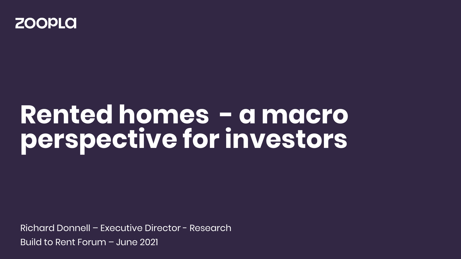

## **Rented homes - a macro perspective for investors**

Richard Donnell – Executive Director - Research Build to Rent Forum – June 2021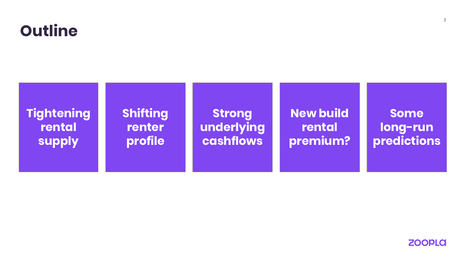



**ZOOPLA**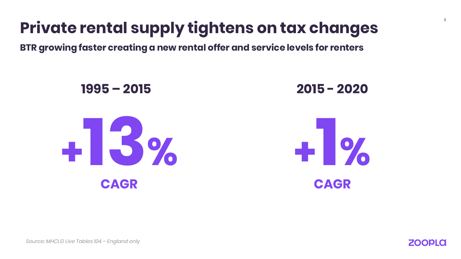### **Private rental supply tightens on tax changes**

**BTR growing faster creating a new rental offer and service levels for renters**



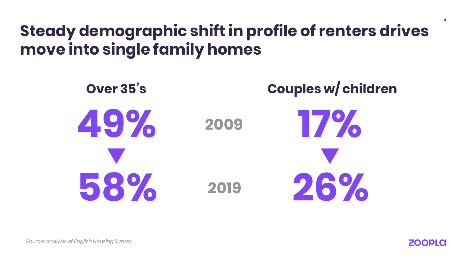#### **Steady demographic shift in profile of renters drives move into single family homes**



4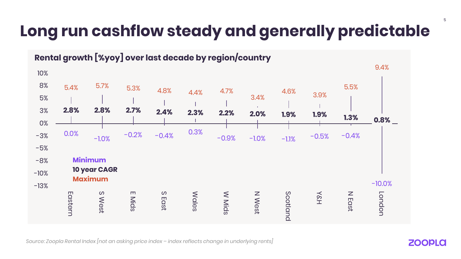#### **Long run cashflow steady and generally predictable**



*Source: Zoopla Rental Index [not an asking price index – index reflects change in underlying rents]*

**ZOOPLO**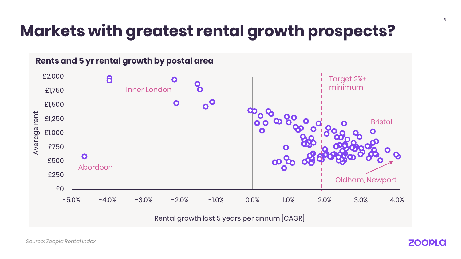#### **Markets with greatest rental growth prospects?**



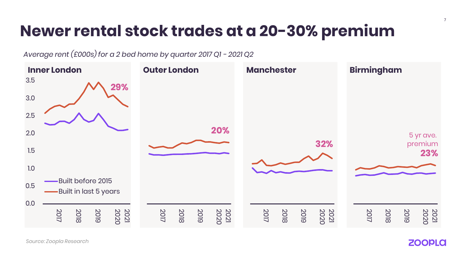#### **Newer rental stock trades at a 20-30% premium**

*Average rent (£000s) for a 2 bed home by quarter 2017 Q1 - 2021 Q2*



*Source: Zoopla Research*

**ZOOPLA** 

7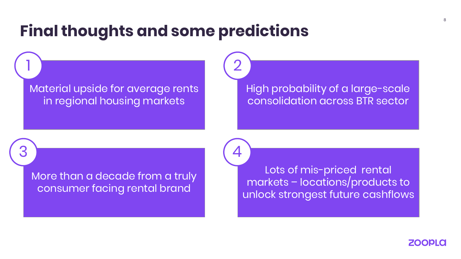#### **Final thoughts and some predictions**

2

4

Material upside for average rents in regional housing markets

1

3

High probability of a large-scale consolidation across BTR sector

More than a decade from a truly consumer facing rental brand

Lots of mis-priced rental markets – locations/products to unlock strongest future cashflows

**ZOOPLO**